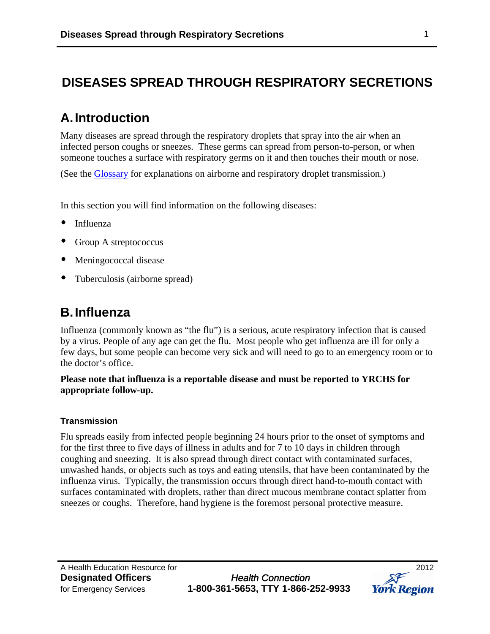# **DISEASES SPREAD THROUGH RESPIRATORY SECRETIONS**

# **A.Introduction**

Many diseases are spread through the respiratory droplets that spray into the air when an infected person coughs or sneezes. These germs can spread from person-to-person, or when someone touches a surface with respiratory germs on it and then touches their mouth or nose.

(See the [Glossary](http://www.york.ca/Services/Public+Health+and+Safety/Infectious+Diseases/DOP-Glossary.htm) for explanations on airborne and respiratory droplet transmission.)

In this section you will find information on the following diseases:

- Influenza
- Group A streptococcus
- Meningococcal disease
- Tuberculosis (airborne spread)

# **B.Influenza**

Influenza (commonly known as "the flu") is a serious, acute respiratory infection that is caused by a virus. People of any age can get the flu. Most people who get influenza are ill for only a few days, but some people can become very sick and will need to go to an emergency room or to the doctor's office.

## **Please note that influenza is a reportable disease and must be reported to YRCHS for appropriate follow-up.**

## **Transmission**

Flu spreads easily from infected people beginning 24 hours prior to the onset of symptoms and for the first three to five days of illness in adults and for 7 to 10 days in children through coughing and sneezing. It is also spread through direct contact with contaminated surfaces, unwashed hands, or objects such as toys and eating utensils, that have been contaminated by the influenza virus. Typically, the transmission occurs through direct hand-to-mouth contact with surfaces contaminated with droplets, rather than direct mucous membrane contact splatter from sneezes or coughs. Therefore, hand hygiene is the foremost personal protective measure.

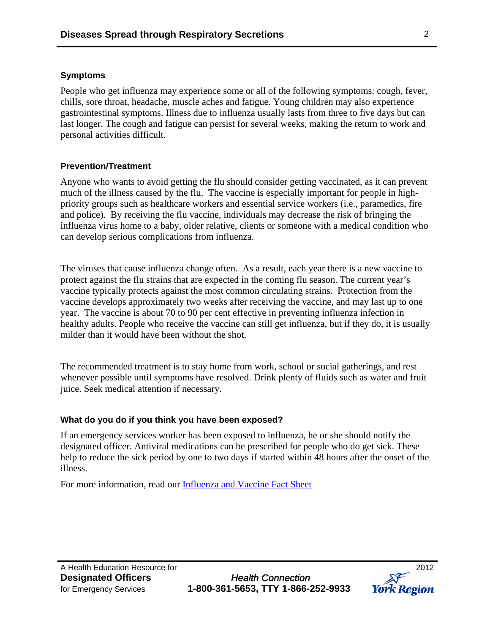### **Symptoms**

People who get influenza may experience some or all of the following symptoms: cough, fever, chills, sore throat, headache, muscle aches and fatigue. Young children may also experience gastrointestinal symptoms. Illness due to influenza usually lasts from three to five days but can last longer. The cough and fatigue can persist for several weeks, making the return to work and personal activities difficult.

### **Prevention/Treatment**

Anyone who wants to avoid getting the flu should consider getting vaccinated, as it can prevent much of the illness caused by the flu. The vaccine is especially important for people in highpriority groups such as healthcare workers and essential service workers (i.e., paramedics, fire and police). By receiving the flu vaccine, individuals may decrease the risk of bringing the influenza virus home to a baby, older relative, clients or someone with a medical condition who can develop serious complications from influenza.

The viruses that cause influenza change often. As a result, each year there is a new vaccine to protect against the flu strains that are expected in the coming flu season. The current year's vaccine typically protects against the most common circulating strains. Protection from the vaccine develops approximately two weeks after receiving the vaccine, and may last up to one year. The vaccine is about 70 to 90 per cent effective in preventing influenza infection in healthy adults. People who receive the vaccine can still get influenza, but if they do, it is usually milder than it would have been without the shot.

The recommended treatment is to stay home from work, school or social gatherings, and rest whenever possible until symptoms have resolved. Drink plenty of fluids such as water and fruit juice. Seek medical attention if necessary.

## **What do you do if you think you have been exposed?**

If an emergency services worker has been exposed to influenza, he or she should notify the designated officer. Antiviral medications can be prescribed for people who do get sick. These help to reduce the sick period by one to two days if started within 48 hours after the onset of the illness.

For more information, read our **Influenza and Vaccine Fact Sheet** 

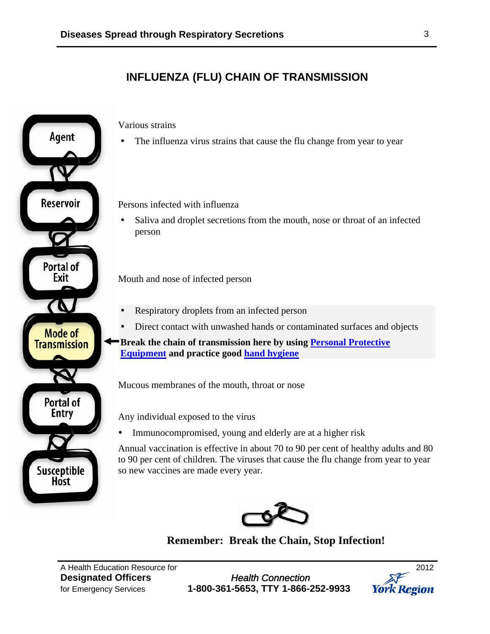# **INFLUENZA (FLU) CHAIN OF TRANSMISSION**



Various strains

The influenza virus strains that cause the flu change from year to year

Persons infected with influenza

 Saliva and droplet secretions from the mouth, nose or throat of an infected person

**Exit** Mouth and nose of infected person

- Respiratory droplets from an infected person
- Direct contact with unwashed hands or contaminated surfaces and objects
- **Break the chain of transmission here by using Personal Protective [Equipment](http://www.york.ca/Services/Public+Health+and+Safety/Infectious+Diseases/DOP-Routine+Practices+and+PPE.htm) and practice good [hand hygiene](http://www.york.ca/Services/Public+Health+and+Safety/Infectious+Diseases/DOP-Hand+Hygiene.htm)**

Mucous membranes of the mouth, throat or nose

Any individual exposed to the virus

• Immunocompromised, young and elderly are at a higher risk

Annual vaccination is effective in about 70 to 90 per cent of healthy adults and 80 to 90 per cent of children. The viruses that cause the flu change from year to year so new vaccines are made every year.



**Remember: Break the Chain, Stop Infection!** 

A Health Education Resource for 2012

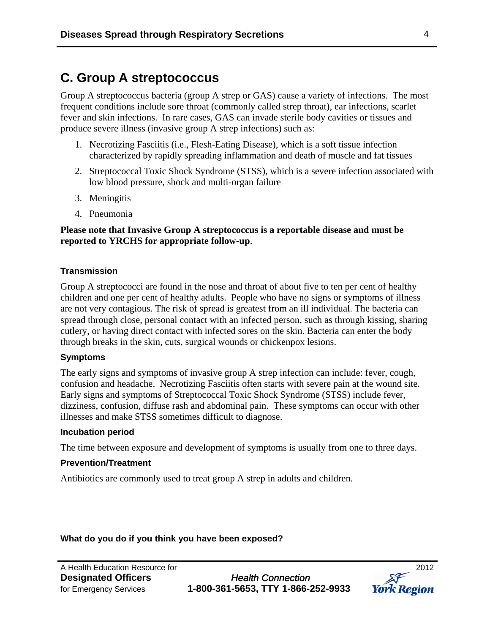# **C. Group A streptococcus**

Group A streptococcus bacteria (group A strep or GAS) cause a variety of infections. The most frequent conditions include sore throat (commonly called strep throat), ear infections, scarlet fever and skin infections. In rare cases, GAS can invade sterile body cavities or tissues and produce severe illness (invasive group A strep infections) such as:

- 1. Necrotizing Fasciitis (i.e., Flesh-Eating Disease), which is a soft tissue infection characterized by rapidly spreading inflammation and death of muscle and fat tissues
- 2. Streptococcal Toxic Shock Syndrome (STSS), which is a severe infection associated with low blood pressure, shock and multi-organ failure
- 3. Meningitis
- 4. Pneumonia

### **Please note that Invasive Group A streptococcus is a reportable disease and must be reported to YRCHS for appropriate follow-up**.

#### **Transmission**

Group A streptococci are found in the nose and throat of about five to ten per cent of healthy children and one per cent of healthy adults. People who have no signs or symptoms of illness are not very contagious. The risk of spread is greatest from an ill individual. The bacteria can spread through close, personal contact with an infected person, such as through kissing, sharing cutlery, or having direct contact with infected sores on the skin. Bacteria can enter the body through breaks in the skin, cuts, surgical wounds or chickenpox lesions.

#### **Symptoms**

The early signs and symptoms of invasive group A strep infection can include: fever, cough, confusion and headache. Necrotizing Fasciitis often starts with severe pain at the wound site. Early signs and symptoms of Streptococcal Toxic Shock Syndrome (STSS) include fever, dizziness, confusion, diffuse rash and abdominal pain. These symptoms can occur with other illnesses and make STSS sometimes difficult to diagnose.

#### **Incubation period**

The time between exposure and development of symptoms is usually from one to three days.

#### **Prevention/Treatment**

Antibiotics are commonly used to treat group A strep in adults and children.

#### **What do you do if you think you have been exposed?**

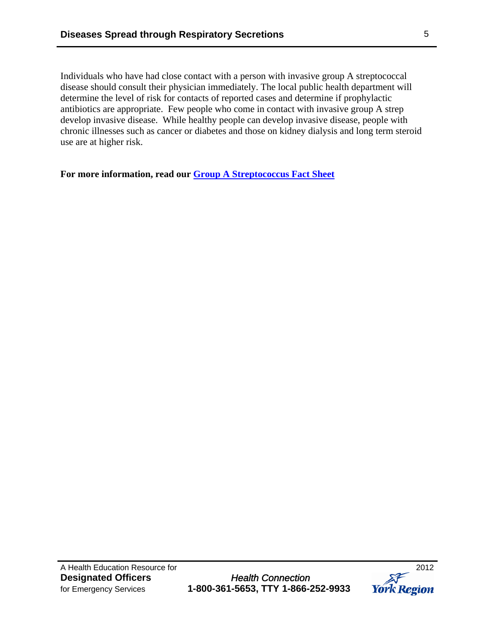Individuals who have had close contact with a person with invasive group A streptococcal disease should consult their physician immediately. The local public health department will determine the level of risk for contacts of reported cases and determine if prophylactic antibiotics are appropriate. Few people who come in contact with invasive group A strep develop invasive disease. While healthy people can develop invasive disease, people with chronic illnesses such as cancer or diabetes and those on kidney dialysis and long term steroid use are at higher risk.

**For more information, read our [Group A Streptococcus Fact Sheet](http://www.york.ca/NR/rdonlyres/m3wnf7y76apxuzvwbqhd64f5mmevlwptpy2z227x6jbdfv4i7dutwsz6dmqrxhifbxvaqjutjd2prcao4dbfhqn5qf/4039+GAS+Fact+Sheet.pdf)**

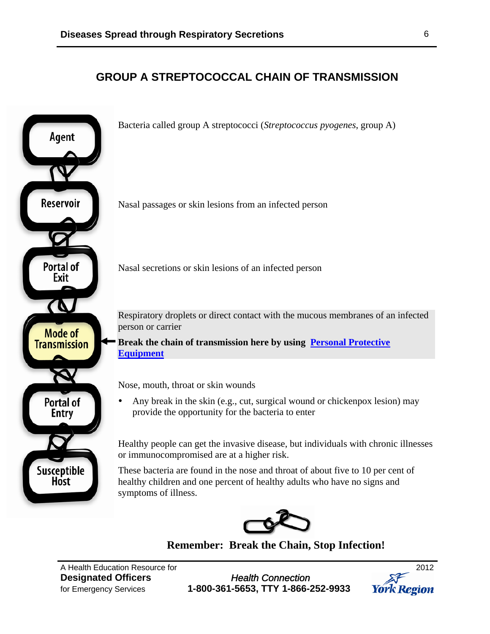# **GROUP A STREPTOCOCCAL CHAIN OF TRANSMISSION**



**Remember: Break the Chain, Stop Infection!**

A Health Education Resource for 2012

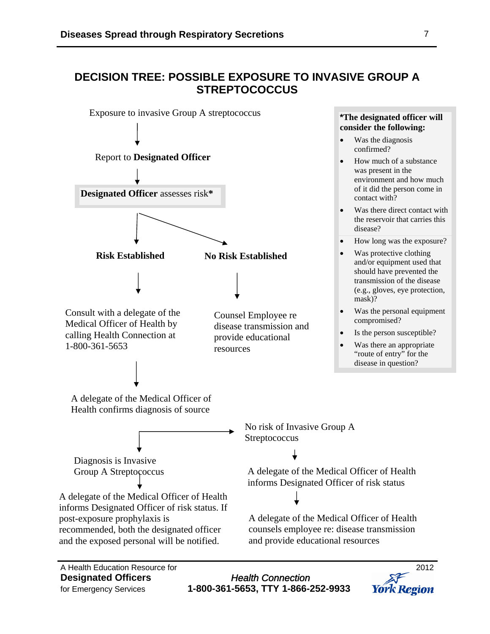# **DECISION TREE: POSSIBLE EXPOSURE TO INVASIVE GROUP A STREPTOCOCCUS**



for Emergency Services **1-800-361-5653, TTY 1-866-252-9933** 

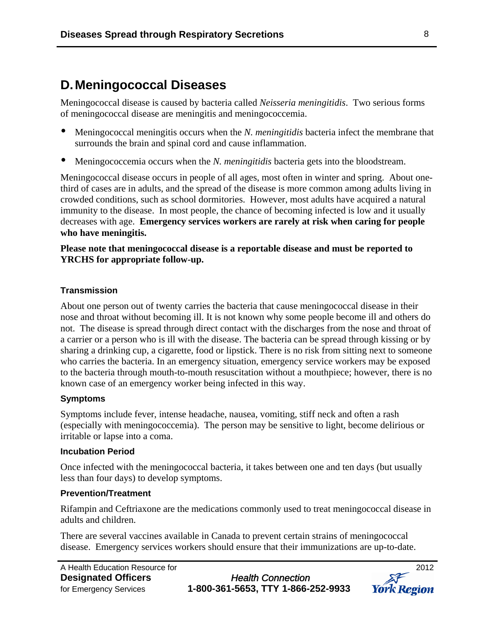# **D.Meningococcal Diseases**

Meningococcal disease is caused by bacteria called *Neisseria meningitidis*. Two serious forms of meningococcal disease are meningitis and meningococcemia.

- Meningococcal meningitis occurs when the *N. meningitidis* bacteria infect the membrane that surrounds the brain and spinal cord and cause inflammation.
- Meningococcemia occurs when the *N. meningitidis* bacteria gets into the bloodstream.

Meningococcal disease occurs in people of all ages, most often in winter and spring. About onethird of cases are in adults, and the spread of the disease is more common among adults living in crowded conditions, such as school dormitories. However, most adults have acquired a natural immunity to the disease. In most people, the chance of becoming infected is low and it usually decreases with age. **Emergency services workers are rarely at risk when caring for people who have meningitis.** 

### **Please note that meningococcal disease is a reportable disease and must be reported to YRCHS for appropriate follow-up.**

#### **Transmission**

About one person out of twenty carries the bacteria that cause meningococcal disease in their nose and throat without becoming ill. It is not known why some people become ill and others do not. The disease is spread through direct contact with the discharges from the nose and throat of a carrier or a person who is ill with the disease. The bacteria can be spread through kissing or by sharing a drinking cup, a cigarette, food or lipstick. There is no risk from sitting next to someone who carries the bacteria. In an emergency situation, emergency service workers may be exposed to the bacteria through mouth-to-mouth resuscitation without a mouthpiece; however, there is no known case of an emergency worker being infected in this way.

#### **Symptoms**

Symptoms include fever, intense headache, nausea, vomiting, stiff neck and often a rash (especially with meningococcemia). The person may be sensitive to light, become delirious or irritable or lapse into a coma.

#### **Incubation Period**

Once infected with the meningococcal bacteria, it takes between one and ten days (but usually less than four days) to develop symptoms.

### **Prevention/Treatment**

Rifampin and Ceftriaxone are the medications commonly used to treat meningococcal disease in adults and children.

There are several vaccines available in Canada to prevent certain strains of meningococcal disease. Emergency services workers should ensure that their immunizations are up-to-date.

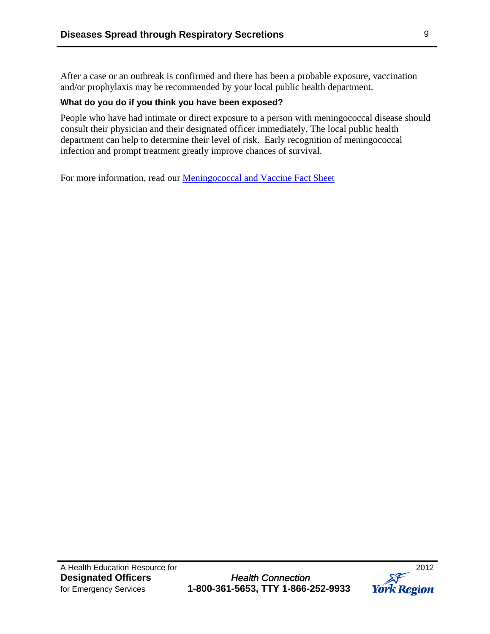After a case or an outbreak is confirmed and there has been a probable exposure, vaccination and/or prophylaxis may be recommended by your local public health department.

### **What do you do if you think you have been exposed?**

People who have had intimate or direct exposure to a person with meningococcal disease should consult their physician and their designated officer immediately. The local public health department can help to determine their level of risk. Early recognition of meningococcal infection and prompt treatment greatly improve chances of survival.

For more information, read our [Meningococcal and Vaccine Fact Sheet](http://www.york.ca/NR/rdonlyres/vcm5jt7mzgtpwx2metcwlh25hq3ukjz6kvdigv4bkcfbllc6ujesnrzr6x3gsraovoyrwypycwsqdb7bsnphz2h2jf/4844_Meningococcal+Vaccine.pdf)

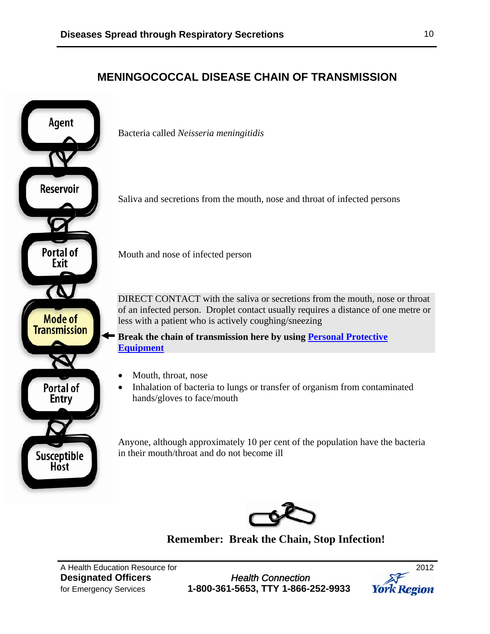# **MENINGOCOCCAL DISEASE CHAIN OF TRANSMISSION**



Bacteria called *Neisseria meningitidis*

Saliva and secretions from the mouth, nose and throat of infected persons

DIRECT CONTACT with the saliva or secretions from the mouth, nose or throat of an infected person. Droplet contact usually requires a distance of one metre or less with a patient who is actively coughing/sneezing

**Break the chain of transmission here by using [Personal Protective](http://www.york.ca/Services/Public+Health+and+Safety/Infectious+Diseases/DOP-Routine+Practices+and+PPE.htm)  [Equipment](http://www.york.ca/Services/Public+Health+and+Safety/Infectious+Diseases/DOP-Routine+Practices+and+PPE.htm)**

- Mouth, throat, nose
- Inhalation of bacteria to lungs or transfer of organism from contaminated hands/gloves to face/mouth

Anyone, although approximately 10 per cent of the population have the bacteria in their mouth/throat and do not become ill



**Remember: Break the Chain, Stop Infection!** 

A Health Education Resource for 2012

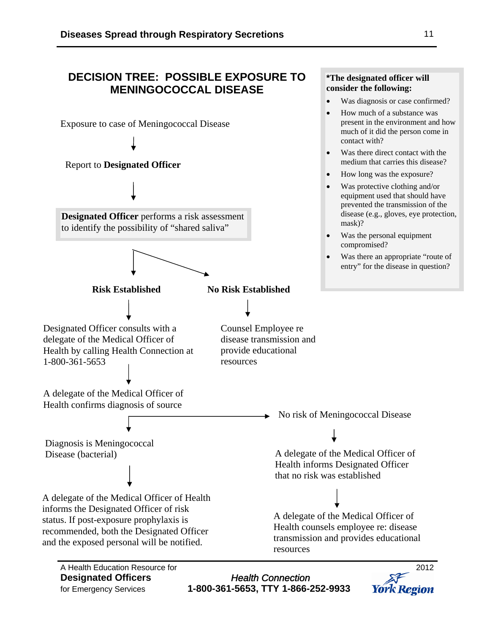# **DECISION TREE: POSSIBLE EXPOSURE TO MENINGOCOCCAL DISEASE**  Exposure to case of Meningococcal Disease contact with? mask)? compromised? **Designated Officer** performs a risk assessment to identify the possibility of "shared saliva" **Risk Established No Risk Established**  Report to **Designated Officer** Counsel Employee re disease transmission and provide educational resources Designated Officer consults with a delegate of the Medical Officer of Health by calling Health Connection at 1-800-361-5653 Health confirms diagnosis of source A delegate of the Medical Officer of Diagnosis is Meningococcal Disease (bacterial) that no risk was established A delegate of the Medical Officer of Health informs the Designated Officer of risk status. If post-exposure prophylaxis is recommended, both the Designated Officer and the exposed personal will be notified. resources A Health Education Resource for 2012 **Designated Officers** *Health Connection*

for Emergency Services **1-800-361-5653, TTY 1-866-252-9933** 

**\*The designated officer will consider the following:** 

- Was diagnosis or case confirmed?
- How much of a substance was present in the environment and how much of it did the person come in
- Was there direct contact with the medium that carries this disease?
- How long was the exposure?
- Was protective clothing and/or equipment used that should have prevented the transmission of the disease (e.g., gloves, eye protection,
- Was the personal equipment
- Was there an appropriate "route of entry" for the disease in question?

No risk of Meningococcal Disease

A delegate of the Medical Officer of Health informs Designated Officer

A delegate of the Medical Officer of Health counsels employee re: disease transmission and provides educational

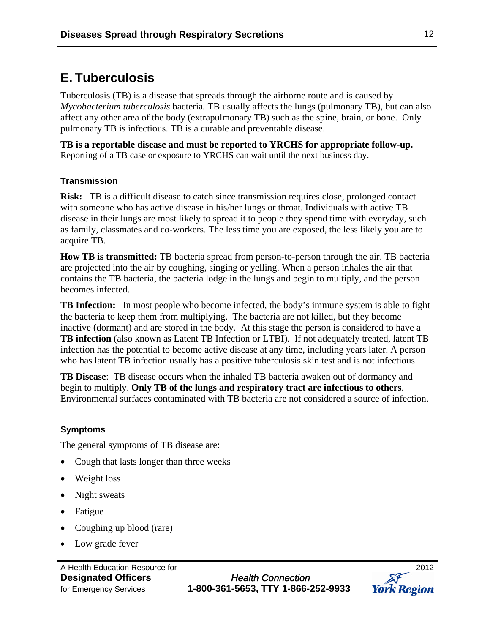# **E. Tuberculosis**

Tuberculosis (TB) is a disease that spreads through the airborne route and is caused by *Mycobacterium tuberculosis* bacteria*.* TB usually affects the lungs (pulmonary TB), but can also affect any other area of the body (extrapulmonary TB) such as the spine, brain, or bone. Only pulmonary TB is infectious. TB is a curable and preventable disease.

**TB is a reportable disease and must be reported to YRCHS for appropriate follow-up.**  Reporting of a TB case or exposure to YRCHS can wait until the next business day.

# **Transmission**

**Risk:** TB is a difficult disease to catch since transmission requires close, prolonged contact with someone who has active disease in his/her lungs or throat. Individuals with active TB disease in their lungs are most likely to spread it to people they spend time with everyday, such as family, classmates and co-workers. The less time you are exposed, the less likely you are to acquire TB.

**How TB is transmitted:** TB bacteria spread from person-to-person through the air. TB bacteria are projected into the air by coughing, singing or yelling. When a person inhales the air that contains the TB bacteria, the bacteria lodge in the lungs and begin to multiply, and the person becomes infected.

**TB Infection:** In most people who become infected, the body's immune system is able to fight the bacteria to keep them from multiplying. The bacteria are not killed, but they become inactive (dormant) and are stored in the body. At this stage the person is considered to have a **TB infection** (also known as Latent TB Infection or LTBI). If not adequately treated, latent TB infection has the potential to become active disease at any time, including years later. A person who has latent TB infection usually has a positive tuberculosis skin test and is not infectious.

**TB Disease**: TB disease occurs when the inhaled TB bacteria awaken out of dormancy and begin to multiply. **Only TB of the lungs and respiratory tract are infectious to others**. Environmental surfaces contaminated with TB bacteria are not considered a source of infection.

## **Symptoms**

The general symptoms of TB disease are:

- Cough that lasts longer than three weeks
- Weight loss
- Night sweats
- Fatigue
- Coughing up blood (rare)
- Low grade fever

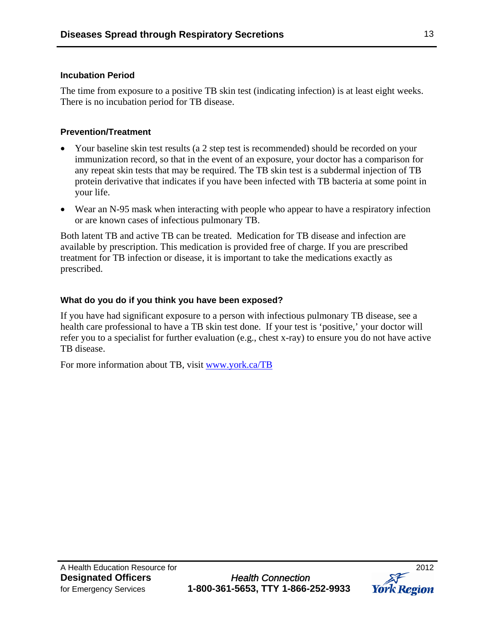### **Incubation Period**

The time from exposure to a positive TB skin test (indicating infection) is at least eight weeks. There is no incubation period for TB disease.

## **Prevention/Treatment**

- Your baseline skin test results (a 2 step test is recommended) should be recorded on your immunization record, so that in the event of an exposure, your doctor has a comparison for any repeat skin tests that may be required. The TB skin test is a subdermal injection of TB protein derivative that indicates if you have been infected with TB bacteria at some point in your life.
- Wear an N-95 mask when interacting with people who appear to have a respiratory infection or are known cases of infectious pulmonary TB.

Both latent TB and active TB can be treated. Medication for TB disease and infection are available by prescription. This medication is provided free of charge. If you are prescribed treatment for TB infection or disease, it is important to take the medications exactly as prescribed.

# **What do you do if you think you have been exposed?**

If you have had significant exposure to a person with infectious pulmonary TB disease, see a health care professional to have a TB skin test done. If your test is 'positive,' your doctor will refer you to a specialist for further evaluation (e.g., chest x-ray) to ensure you do not have active TB disease.

For more information about TB, visit [www.york.ca/TB](http://www.york.ca/TB)

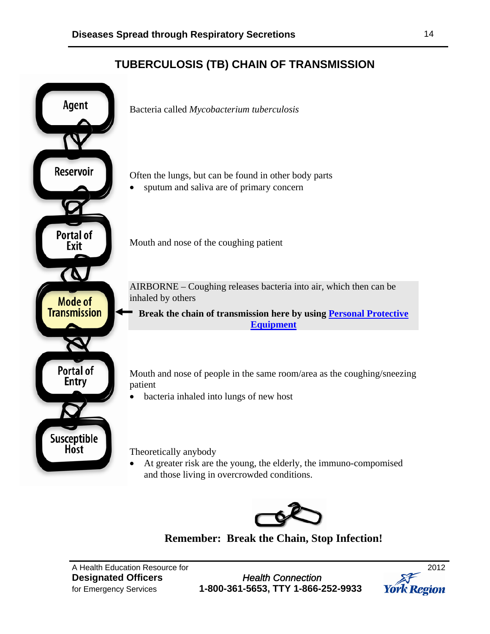# **TUBERCULOSIS (TB) CHAIN OF TRANSMISSION**





**Remember: Break the Chain, Stop Infection!** 

A Health Education Resource for 2012